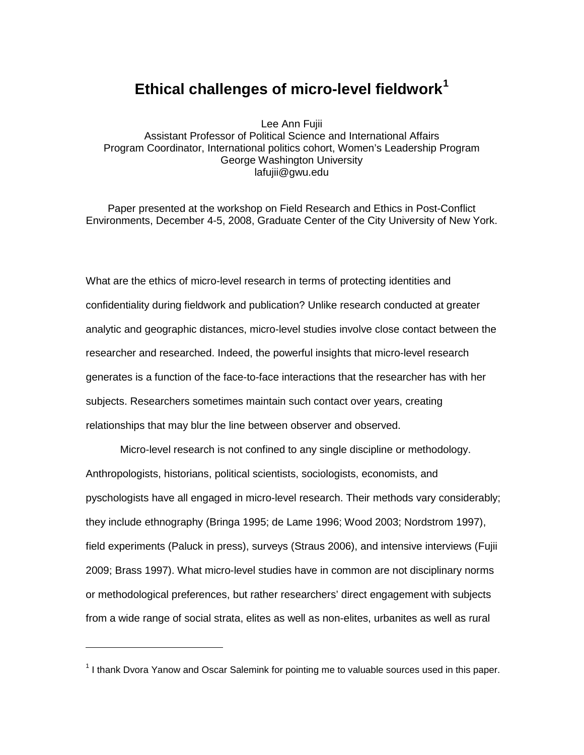# **Ethical challenges of micro-level fieldwork[1](#page-0-0)**

Lee Ann Fujii Assistant Professor of Political Science and International Affairs Program Coordinator, International politics cohort, Women's Leadership Program George Washington University lafujii@gwu.edu

Paper presented at the workshop on Field Research and Ethics in Post-Conflict Environments, December 4-5, 2008, Graduate Center of the City University of New York.

What are the ethics of micro-level research in terms of protecting identities and confidentiality during fieldwork and publication? Unlike research conducted at greater analytic and geographic distances, micro-level studies involve close contact between the researcher and researched. Indeed, the powerful insights that micro-level research generates is a function of the face-to-face interactions that the researcher has with her subjects. Researchers sometimes maintain such contact over years, creating relationships that may blur the line between observer and observed.

Micro-level research is not confined to any single discipline or methodology. Anthropologists, historians, political scientists, sociologists, economists, and pyschologists have all engaged in micro-level research. Their methods vary considerably; they include ethnography (Bringa 1995; de Lame 1996; Wood 2003; Nordstrom 1997), field experiments (Paluck in press), surveys (Straus 2006), and intensive interviews (Fujii 2009; Brass 1997). What micro-level studies have in common are not disciplinary norms or methodological preferences, but rather researchers' direct engagement with subjects from a wide range of social strata, elites as well as non-elites, urbanites as well as rural

 $\overline{a}$ 

<span id="page-0-0"></span><sup>&</sup>lt;sup>1</sup> I thank Dvora Yanow and Oscar Salemink for pointing me to valuable sources used in this paper.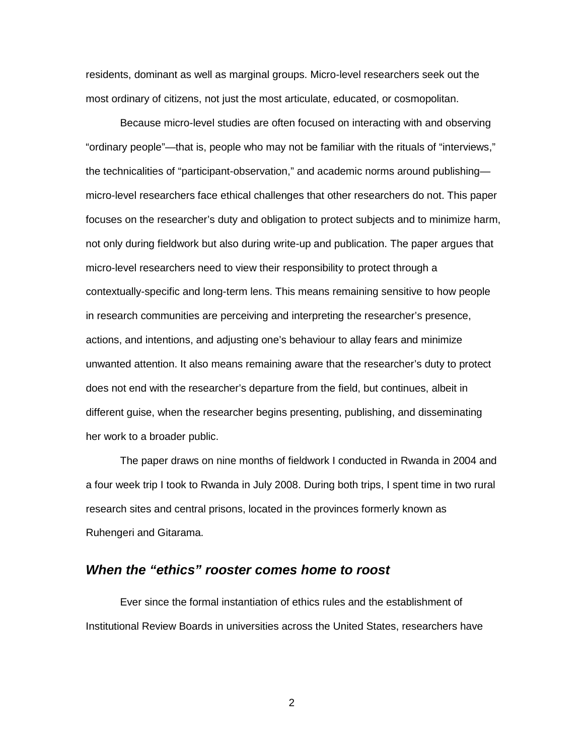residents, dominant as well as marginal groups. Micro-level researchers seek out the most ordinary of citizens, not just the most articulate, educated, or cosmopolitan.

Because micro-level studies are often focused on interacting with and observing "ordinary people"—that is, people who may not be familiar with the rituals of "interviews," the technicalities of "participant-observation," and academic norms around publishing micro-level researchers face ethical challenges that other researchers do not. This paper focuses on the researcher's duty and obligation to protect subjects and to minimize harm, not only during fieldwork but also during write-up and publication. The paper argues that micro-level researchers need to view their responsibility to protect through a contextually-specific and long-term lens. This means remaining sensitive to how people in research communities are perceiving and interpreting the researcher's presence, actions, and intentions, and adjusting one's behaviour to allay fears and minimize unwanted attention. It also means remaining aware that the researcher's duty to protect does not end with the researcher's departure from the field, but continues, albeit in different guise, when the researcher begins presenting, publishing, and disseminating her work to a broader public.

The paper draws on nine months of fieldwork I conducted in Rwanda in 2004 and a four week trip I took to Rwanda in July 2008. During both trips, I spent time in two rural research sites and central prisons, located in the provinces formerly known as Ruhengeri and Gitarama.

### *When the "ethics" rooster comes home to roost*

Ever since the formal instantiation of ethics rules and the establishment of Institutional Review Boards in universities across the United States, researchers have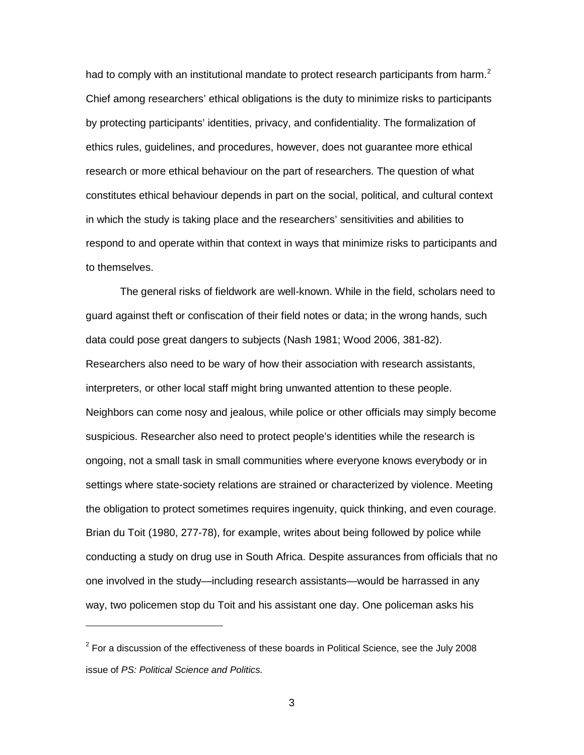had to comply with an institutional mandate to protect research participants from harm.<sup>[2](#page-2-0)</sup> Chief among researchers' ethical obligations is the duty to minimize risks to participants by protecting participants' identities, privacy, and confidentiality. The formalization of ethics rules, guidelines, and procedures, however, does not guarantee more ethical research or more ethical behaviour on the part of researchers. The question of what constitutes ethical behaviour depends in part on the social, political, and cultural context in which the study is taking place and the researchers' sensitivities and abilities to respond to and operate within that context in ways that minimize risks to participants and to themselves.

The general risks of fieldwork are well-known. While in the field, scholars need to guard against theft or confiscation of their field notes or data; in the wrong hands, such data could pose great dangers to subjects (Nash 1981; Wood 2006, 381-82). Researchers also need to be wary of how their association with research assistants, interpreters, or other local staff might bring unwanted attention to these people. Neighbors can come nosy and jealous, while police or other officials may simply become suspicious. Researcher also need to protect people's identities while the research is ongoing, not a small task in small communities where everyone knows everybody or in settings where state-society relations are strained or characterized by violence. Meeting the obligation to protect sometimes requires ingenuity, quick thinking, and even courage. Brian du Toit (1980, 277-78), for example, writes about being followed by police while conducting a study on drug use in South Africa. Despite assurances from officials that no one involved in the study—including research assistants—would be harrassed in any way, two policemen stop du Toit and his assistant one day. One policeman asks his

 $\ddot{\phantom{a}}$ 

<span id="page-2-0"></span> $2$  For a discussion of the effectiveness of these boards in Political Science, see the July 2008 issue of *PS: Political Science and Politics.*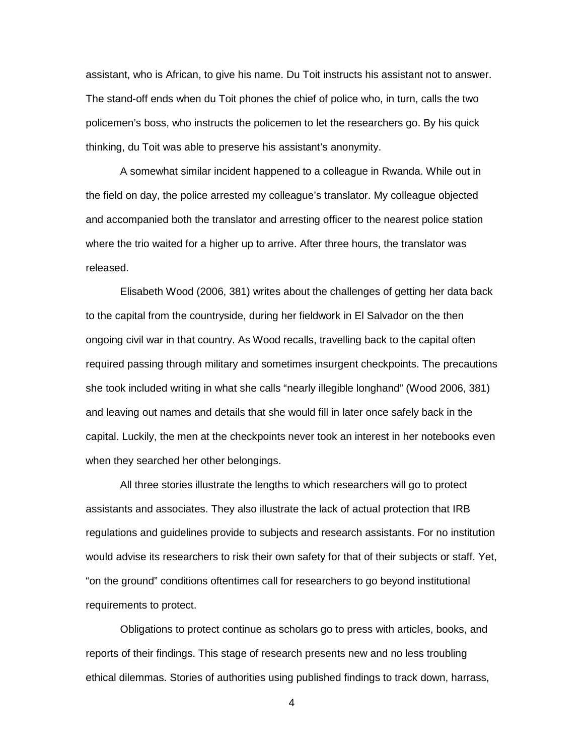assistant, who is African, to give his name. Du Toit instructs his assistant not to answer. The stand-off ends when du Toit phones the chief of police who, in turn, calls the two policemen's boss, who instructs the policemen to let the researchers go. By his quick thinking, du Toit was able to preserve his assistant's anonymity.

A somewhat similar incident happened to a colleague in Rwanda. While out in the field on day, the police arrested my colleague's translator. My colleague objected and accompanied both the translator and arresting officer to the nearest police station where the trio waited for a higher up to arrive. After three hours, the translator was released.

Elisabeth Wood (2006, 381) writes about the challenges of getting her data back to the capital from the countryside, during her fieldwork in El Salvador on the then ongoing civil war in that country. As Wood recalls, travelling back to the capital often required passing through military and sometimes insurgent checkpoints. The precautions she took included writing in what she calls "nearly illegible longhand" (Wood 2006, 381) and leaving out names and details that she would fill in later once safely back in the capital. Luckily, the men at the checkpoints never took an interest in her notebooks even when they searched her other belongings.

All three stories illustrate the lengths to which researchers will go to protect assistants and associates. They also illustrate the lack of actual protection that IRB regulations and guidelines provide to subjects and research assistants. For no institution would advise its researchers to risk their own safety for that of their subjects or staff. Yet, "on the ground" conditions oftentimes call for researchers to go beyond institutional requirements to protect.

Obligations to protect continue as scholars go to press with articles, books, and reports of their findings. This stage of research presents new and no less troubling ethical dilemmas. Stories of authorities using published findings to track down, harrass,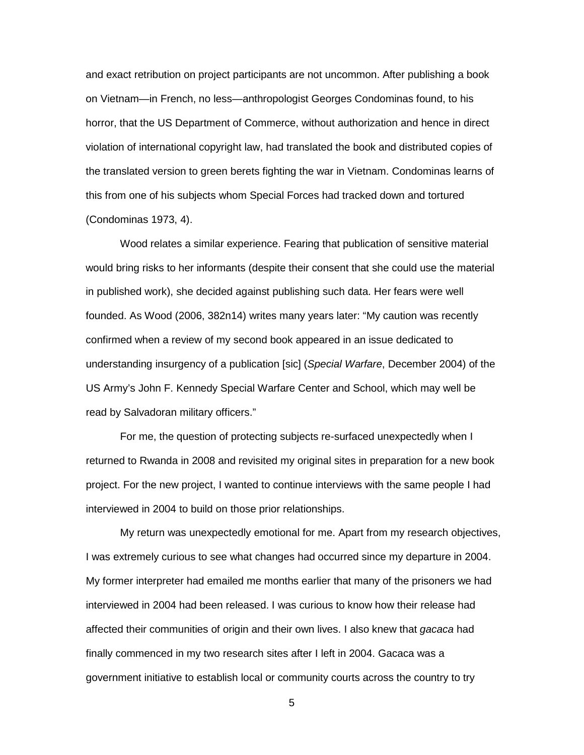and exact retribution on project participants are not uncommon. After publishing a book on Vietnam—in French, no less—anthropologist Georges Condominas found, to his horror, that the US Department of Commerce, without authorization and hence in direct violation of international copyright law, had translated the book and distributed copies of the translated version to green berets fighting the war in Vietnam. Condominas learns of this from one of his subjects whom Special Forces had tracked down and tortured (Condominas 1973, 4).

Wood relates a similar experience. Fearing that publication of sensitive material would bring risks to her informants (despite their consent that she could use the material in published work), she decided against publishing such data. Her fears were well founded. As Wood (2006, 382n14) writes many years later: "My caution was recently confirmed when a review of my second book appeared in an issue dedicated to understanding insurgency of a publication [sic] (*Special Warfare*, December 2004) of the US Army's John F. Kennedy Special Warfare Center and School, which may well be read by Salvadoran military officers."

For me, the question of protecting subjects re-surfaced unexpectedly when I returned to Rwanda in 2008 and revisited my original sites in preparation for a new book project. For the new project, I wanted to continue interviews with the same people I had interviewed in 2004 to build on those prior relationships.

My return was unexpectedly emotional for me. Apart from my research objectives, I was extremely curious to see what changes had occurred since my departure in 2004. My former interpreter had emailed me months earlier that many of the prisoners we had interviewed in 2004 had been released. I was curious to know how their release had affected their communities of origin and their own lives. I also knew that *gacaca* had finally commenced in my two research sites after I left in 2004. Gacaca was a government initiative to establish local or community courts across the country to try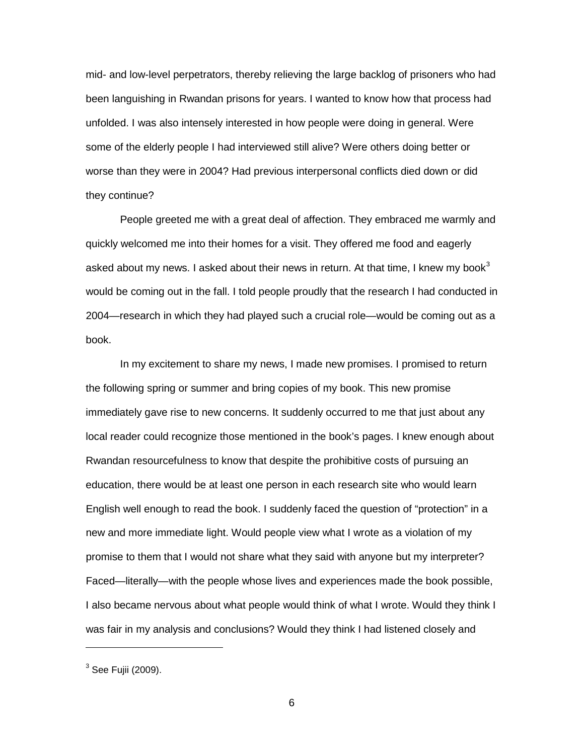mid- and low-level perpetrators, thereby relieving the large backlog of prisoners who had been languishing in Rwandan prisons for years. I wanted to know how that process had unfolded. I was also intensely interested in how people were doing in general. Were some of the elderly people I had interviewed still alive? Were others doing better or worse than they were in 2004? Had previous interpersonal conflicts died down or did they continue?

People greeted me with a great deal of affection. They embraced me warmly and quickly welcomed me into their homes for a visit. They offered me food and eagerly asked about my news. I asked about their news in return. At that time, I knew my book $3$ would be coming out in the fall. I told people proudly that the research I had conducted in 2004—research in which they had played such a crucial role—would be coming out as a book.

In my excitement to share my news, I made new promises. I promised to return the following spring or summer and bring copies of my book. This new promise immediately gave rise to new concerns. It suddenly occurred to me that just about any local reader could recognize those mentioned in the book's pages. I knew enough about Rwandan resourcefulness to know that despite the prohibitive costs of pursuing an education, there would be at least one person in each research site who would learn English well enough to read the book. I suddenly faced the question of "protection" in a new and more immediate light. Would people view what I wrote as a violation of my promise to them that I would not share what they said with anyone but my interpreter? Faced—literally—with the people whose lives and experiences made the book possible, I also became nervous about what people would think of what I wrote. Would they think I was fair in my analysis and conclusions? Would they think I had listened closely and

 $\overline{a}$ 

<span id="page-5-0"></span> $3$  See Fujii (2009).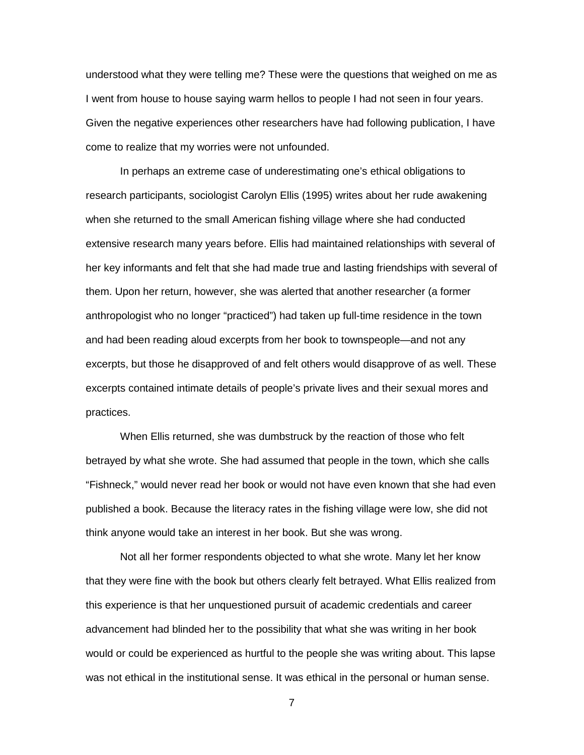understood what they were telling me? These were the questions that weighed on me as I went from house to house saying warm hellos to people I had not seen in four years. Given the negative experiences other researchers have had following publication, I have come to realize that my worries were not unfounded.

In perhaps an extreme case of underestimating one's ethical obligations to research participants, sociologist Carolyn Ellis (1995) writes about her rude awakening when she returned to the small American fishing village where she had conducted extensive research many years before. Ellis had maintained relationships with several of her key informants and felt that she had made true and lasting friendships with several of them. Upon her return, however, she was alerted that another researcher (a former anthropologist who no longer "practiced") had taken up full-time residence in the town and had been reading aloud excerpts from her book to townspeople—and not any excerpts, but those he disapproved of and felt others would disapprove of as well. These excerpts contained intimate details of people's private lives and their sexual mores and practices.

When Ellis returned, she was dumbstruck by the reaction of those who felt betrayed by what she wrote. She had assumed that people in the town, which she calls "Fishneck," would never read her book or would not have even known that she had even published a book. Because the literacy rates in the fishing village were low, she did not think anyone would take an interest in her book. But she was wrong.

Not all her former respondents objected to what she wrote. Many let her know that they were fine with the book but others clearly felt betrayed. What Ellis realized from this experience is that her unquestioned pursuit of academic credentials and career advancement had blinded her to the possibility that what she was writing in her book would or could be experienced as hurtful to the people she was writing about. This lapse was not ethical in the institutional sense. It was ethical in the personal or human sense.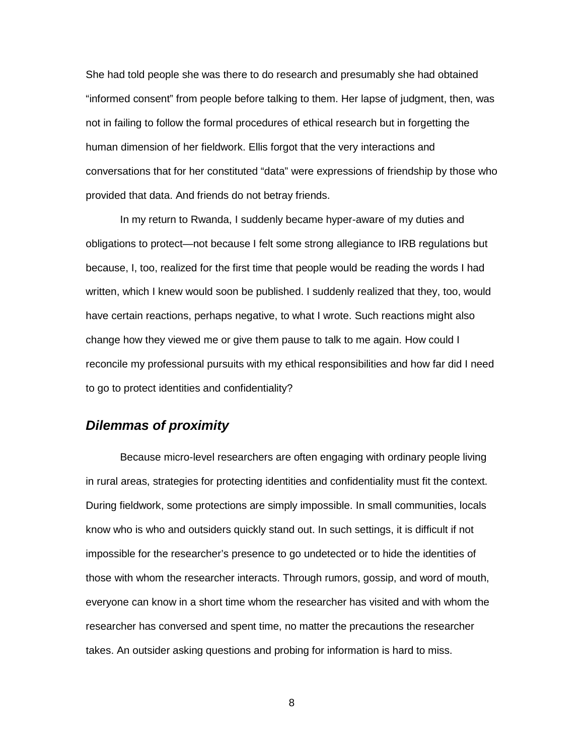She had told people she was there to do research and presumably she had obtained "informed consent" from people before talking to them. Her lapse of judgment, then, was not in failing to follow the formal procedures of ethical research but in forgetting the human dimension of her fieldwork. Ellis forgot that the very interactions and conversations that for her constituted "data" were expressions of friendship by those who provided that data. And friends do not betray friends.

In my return to Rwanda, I suddenly became hyper-aware of my duties and obligations to protect—not because I felt some strong allegiance to IRB regulations but because, I, too, realized for the first time that people would be reading the words I had written, which I knew would soon be published. I suddenly realized that they, too, would have certain reactions, perhaps negative, to what I wrote. Such reactions might also change how they viewed me or give them pause to talk to me again. How could I reconcile my professional pursuits with my ethical responsibilities and how far did I need to go to protect identities and confidentiality?

# *Dilemmas of proximity*

Because micro-level researchers are often engaging with ordinary people living in rural areas, strategies for protecting identities and confidentiality must fit the context. During fieldwork, some protections are simply impossible. In small communities, locals know who is who and outsiders quickly stand out. In such settings, it is difficult if not impossible for the researcher's presence to go undetected or to hide the identities of those with whom the researcher interacts. Through rumors, gossip, and word of mouth, everyone can know in a short time whom the researcher has visited and with whom the researcher has conversed and spent time, no matter the precautions the researcher takes. An outsider asking questions and probing for information is hard to miss.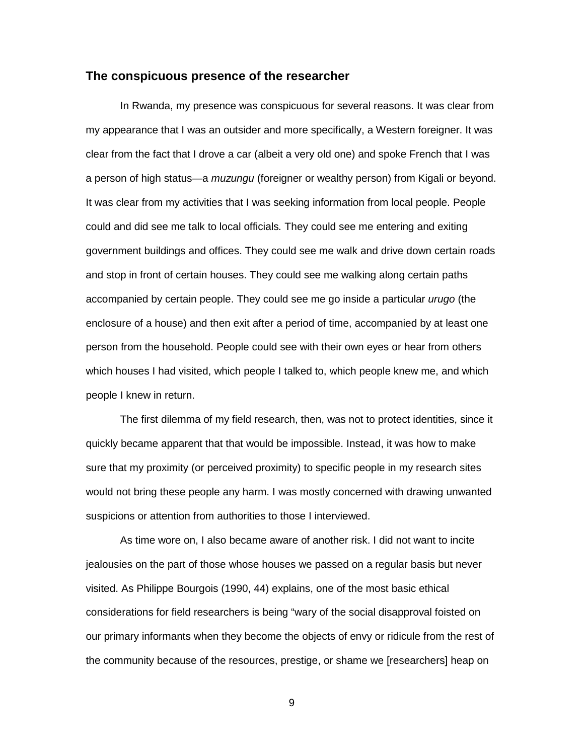#### **The conspicuous presence of the researcher**

In Rwanda, my presence was conspicuous for several reasons. It was clear from my appearance that I was an outsider and more specifically, a Western foreigner. It was clear from the fact that I drove a car (albeit a very old one) and spoke French that I was a person of high status—a *muzungu* (foreigner or wealthy person) from Kigali or beyond. It was clear from my activities that I was seeking information from local people. People could and did see me talk to local officials*.* They could see me entering and exiting government buildings and offices. They could see me walk and drive down certain roads and stop in front of certain houses. They could see me walking along certain paths accompanied by certain people. They could see me go inside a particular *urugo* (the enclosure of a house) and then exit after a period of time, accompanied by at least one person from the household. People could see with their own eyes or hear from others which houses I had visited, which people I talked to, which people knew me, and which people I knew in return.

The first dilemma of my field research, then, was not to protect identities, since it quickly became apparent that that would be impossible. Instead, it was how to make sure that my proximity (or perceived proximity) to specific people in my research sites would not bring these people any harm. I was mostly concerned with drawing unwanted suspicions or attention from authorities to those I interviewed.

As time wore on, I also became aware of another risk. I did not want to incite jealousies on the part of those whose houses we passed on a regular basis but never visited. As Philippe Bourgois (1990, 44) explains, one of the most basic ethical considerations for field researchers is being "wary of the social disapproval foisted on our primary informants when they become the objects of envy or ridicule from the rest of the community because of the resources, prestige, or shame we [researchers] heap on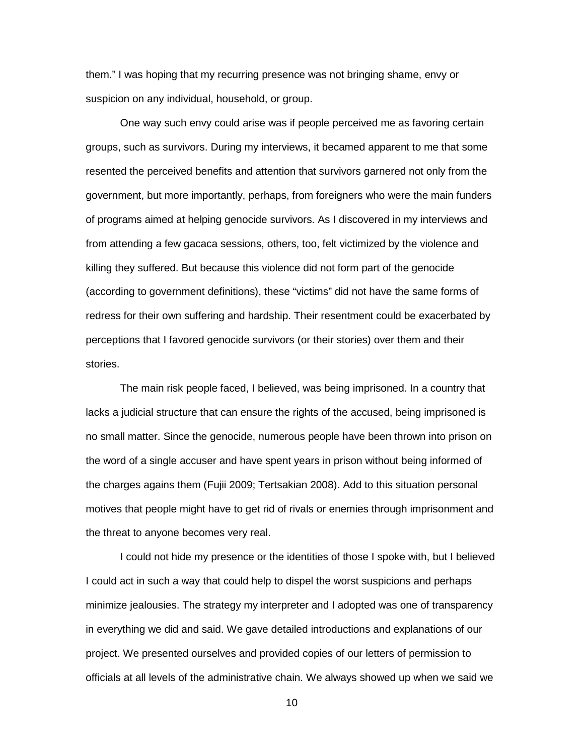them." I was hoping that my recurring presence was not bringing shame, envy or suspicion on any individual, household, or group.

One way such envy could arise was if people perceived me as favoring certain groups, such as survivors. During my interviews, it becamed apparent to me that some resented the perceived benefits and attention that survivors garnered not only from the government, but more importantly, perhaps, from foreigners who were the main funders of programs aimed at helping genocide survivors. As I discovered in my interviews and from attending a few gacaca sessions, others, too, felt victimized by the violence and killing they suffered. But because this violence did not form part of the genocide (according to government definitions), these "victims" did not have the same forms of redress for their own suffering and hardship. Their resentment could be exacerbated by perceptions that I favored genocide survivors (or their stories) over them and their stories.

The main risk people faced, I believed, was being imprisoned. In a country that lacks a judicial structure that can ensure the rights of the accused, being imprisoned is no small matter. Since the genocide, numerous people have been thrown into prison on the word of a single accuser and have spent years in prison without being informed of the charges agains them (Fujii 2009; Tertsakian 2008). Add to this situation personal motives that people might have to get rid of rivals or enemies through imprisonment and the threat to anyone becomes very real.

I could not hide my presence or the identities of those I spoke with, but I believed I could act in such a way that could help to dispel the worst suspicions and perhaps minimize jealousies. The strategy my interpreter and I adopted was one of transparency in everything we did and said. We gave detailed introductions and explanations of our project. We presented ourselves and provided copies of our letters of permission to officials at all levels of the administrative chain. We always showed up when we said we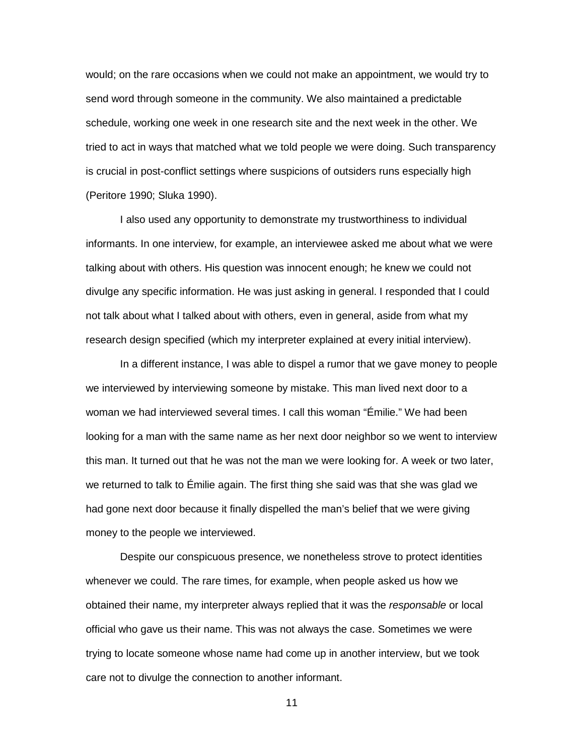would; on the rare occasions when we could not make an appointment, we would try to send word through someone in the community. We also maintained a predictable schedule, working one week in one research site and the next week in the other. We tried to act in ways that matched what we told people we were doing. Such transparency is crucial in post-conflict settings where suspicions of outsiders runs especially high (Peritore 1990; Sluka 1990).

I also used any opportunity to demonstrate my trustworthiness to individual informants. In one interview, for example, an interviewee asked me about what we were talking about with others. His question was innocent enough; he knew we could not divulge any specific information. He was just asking in general. I responded that I could not talk about what I talked about with others, even in general, aside from what my research design specified (which my interpreter explained at every initial interview).

In a different instance, I was able to dispel a rumor that we gave money to people we interviewed by interviewing someone by mistake. This man lived next door to a woman we had interviewed several times. I call this woman "Émilie." We had been looking for a man with the same name as her next door neighbor so we went to interview this man. It turned out that he was not the man we were looking for. A week or two later, we returned to talk to Émilie again. The first thing she said was that she was glad we had gone next door because it finally dispelled the man's belief that we were giving money to the people we interviewed.

Despite our conspicuous presence, we nonetheless strove to protect identities whenever we could. The rare times, for example, when people asked us how we obtained their name, my interpreter always replied that it was the *responsable* or local official who gave us their name. This was not always the case. Sometimes we were trying to locate someone whose name had come up in another interview, but we took care not to divulge the connection to another informant.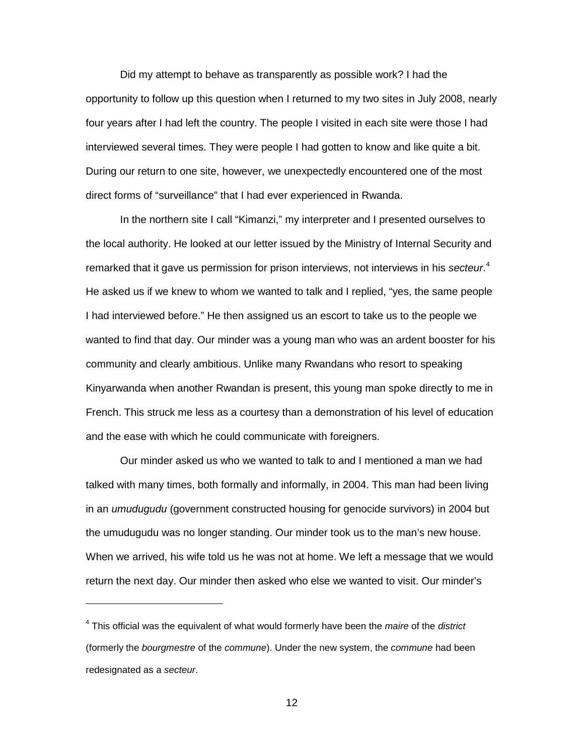Did my attempt to behave as transparently as possible work? I had the opportunity to follow up this question when I returned to my two sites in July 2008, nearly four years after I had left the country. The people I visited in each site were those I had interviewed several times. They were people I had gotten to know and like quite a bit. During our return to one site, however, we unexpectedly encountered one of the most direct forms of "surveillance" that I had ever experienced in Rwanda.

In the northern site I call "Kimanzi," my interpreter and I presented ourselves to the local authority. He looked at our letter issued by the Ministry of Internal Security and remarked that it gave us permission for prison interviews, not interviews in his *secteur*. [4](#page-11-0) He asked us if we knew to whom we wanted to talk and I replied, "yes, the same people I had interviewed before." He then assigned us an escort to take us to the people we wanted to find that day. Our minder was a young man who was an ardent booster for his community and clearly ambitious. Unlike many Rwandans who resort to speaking Kinyarwanda when another Rwandan is present, this young man spoke directly to me in French. This struck me less as a courtesy than a demonstration of his level of education and the ease with which he could communicate with foreigners.

Our minder asked us who we wanted to talk to and I mentioned a man we had talked with many times, both formally and informally, in 2004. This man had been living in an *umudugudu* (government constructed housing for genocide survivors) in 2004 but the umudugudu was no longer standing. Our minder took us to the man's new house. When we arrived, his wife told us he was not at home. We left a message that we would return the next day. Our minder then asked who else we wanted to visit. Our minder's

 $\overline{a}$ 

<span id="page-11-0"></span><sup>4</sup> This official was the equivalent of what would formerly have been the *maire* of the *district* (formerly the *bourgmestre* of the *commune*). Under the new system, the *commune* had been redesignated as a *secteur*.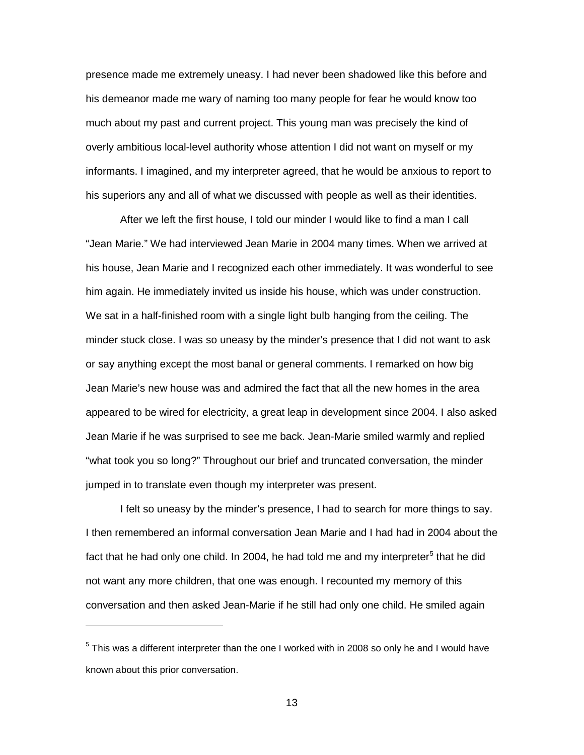presence made me extremely uneasy. I had never been shadowed like this before and his demeanor made me wary of naming too many people for fear he would know too much about my past and current project. This young man was precisely the kind of overly ambitious local-level authority whose attention I did not want on myself or my informants. I imagined, and my interpreter agreed, that he would be anxious to report to his superiors any and all of what we discussed with people as well as their identities.

After we left the first house, I told our minder I would like to find a man I call "Jean Marie." We had interviewed Jean Marie in 2004 many times. When we arrived at his house, Jean Marie and I recognized each other immediately. It was wonderful to see him again. He immediately invited us inside his house, which was under construction. We sat in a half-finished room with a single light bulb hanging from the ceiling. The minder stuck close. I was so uneasy by the minder's presence that I did not want to ask or say anything except the most banal or general comments. I remarked on how big Jean Marie's new house was and admired the fact that all the new homes in the area appeared to be wired for electricity, a great leap in development since 2004. I also asked Jean Marie if he was surprised to see me back. Jean-Marie smiled warmly and replied "what took you so long?" Throughout our brief and truncated conversation, the minder jumped in to translate even though my interpreter was present.

I felt so uneasy by the minder's presence, I had to search for more things to say. I then remembered an informal conversation Jean Marie and I had had in 2004 about the fact that he had only one child. In 2004, he had told me and my interpreter<sup>[5](#page-12-0)</sup> that he did not want any more children, that one was enough. I recounted my memory of this conversation and then asked Jean-Marie if he still had only one child. He smiled again

 $\ddot{\phantom{a}}$ 

<span id="page-12-0"></span> $5$  This was a different interpreter than the one I worked with in 2008 so only he and I would have known about this prior conversation.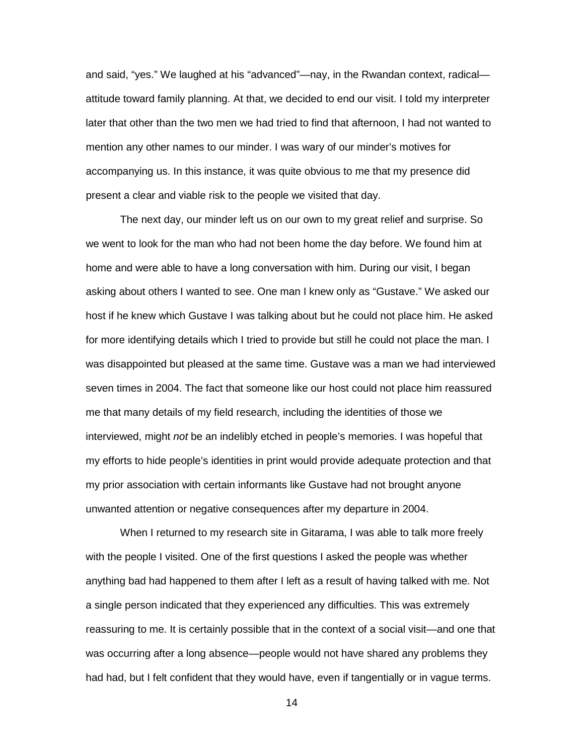and said, "yes." We laughed at his "advanced"—nay, in the Rwandan context, radical attitude toward family planning. At that, we decided to end our visit. I told my interpreter later that other than the two men we had tried to find that afternoon, I had not wanted to mention any other names to our minder. I was wary of our minder's motives for accompanying us. In this instance, it was quite obvious to me that my presence did present a clear and viable risk to the people we visited that day.

The next day, our minder left us on our own to my great relief and surprise. So we went to look for the man who had not been home the day before. We found him at home and were able to have a long conversation with him. During our visit, I began asking about others I wanted to see. One man I knew only as "Gustave." We asked our host if he knew which Gustave I was talking about but he could not place him. He asked for more identifying details which I tried to provide but still he could not place the man. I was disappointed but pleased at the same time. Gustave was a man we had interviewed seven times in 2004. The fact that someone like our host could not place him reassured me that many details of my field research, including the identities of those we interviewed, might *not* be an indelibly etched in people's memories. I was hopeful that my efforts to hide people's identities in print would provide adequate protection and that my prior association with certain informants like Gustave had not brought anyone unwanted attention or negative consequences after my departure in 2004.

When I returned to my research site in Gitarama, I was able to talk more freely with the people I visited. One of the first questions I asked the people was whether anything bad had happened to them after I left as a result of having talked with me. Not a single person indicated that they experienced any difficulties. This was extremely reassuring to me. It is certainly possible that in the context of a social visit—and one that was occurring after a long absence—people would not have shared any problems they had had, but I felt confident that they would have, even if tangentially or in vague terms.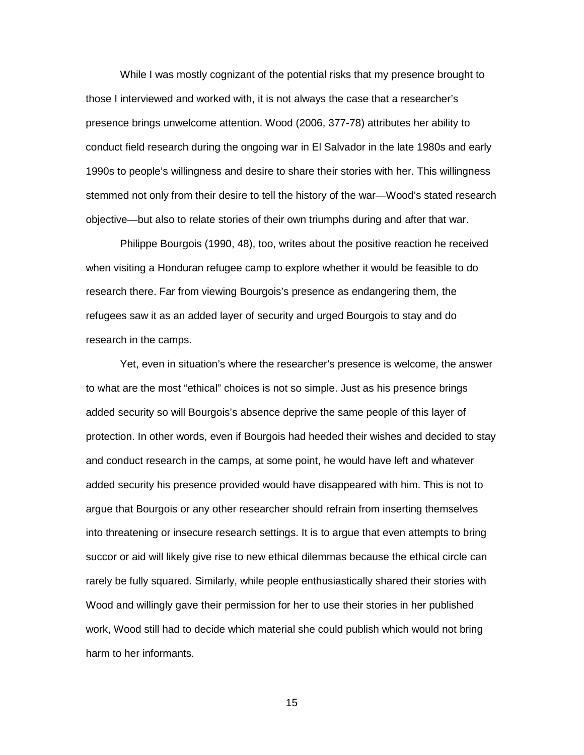While I was mostly cognizant of the potential risks that my presence brought to those I interviewed and worked with, it is not always the case that a researcher's presence brings unwelcome attention. Wood (2006, 377-78) attributes her ability to conduct field research during the ongoing war in El Salvador in the late 1980s and early 1990s to people's willingness and desire to share their stories with her. This willingness stemmed not only from their desire to tell the history of the war—Wood's stated research objective—but also to relate stories of their own triumphs during and after that war.

Philippe Bourgois (1990, 48), too, writes about the positive reaction he received when visiting a Honduran refugee camp to explore whether it would be feasible to do research there. Far from viewing Bourgois's presence as endangering them, the refugees saw it as an added layer of security and urged Bourgois to stay and do research in the camps.

Yet, even in situation's where the researcher's presence is welcome, the answer to what are the most "ethical" choices is not so simple. Just as his presence brings added security so will Bourgois's absence deprive the same people of this layer of protection. In other words, even if Bourgois had heeded their wishes and decided to stay and conduct research in the camps, at some point, he would have left and whatever added security his presence provided would have disappeared with him. This is not to argue that Bourgois or any other researcher should refrain from inserting themselves into threatening or insecure research settings. It is to argue that even attempts to bring succor or aid will likely give rise to new ethical dilemmas because the ethical circle can rarely be fully squared. Similarly, while people enthusiastically shared their stories with Wood and willingly gave their permission for her to use their stories in her published work, Wood still had to decide which material she could publish which would not bring harm to her informants.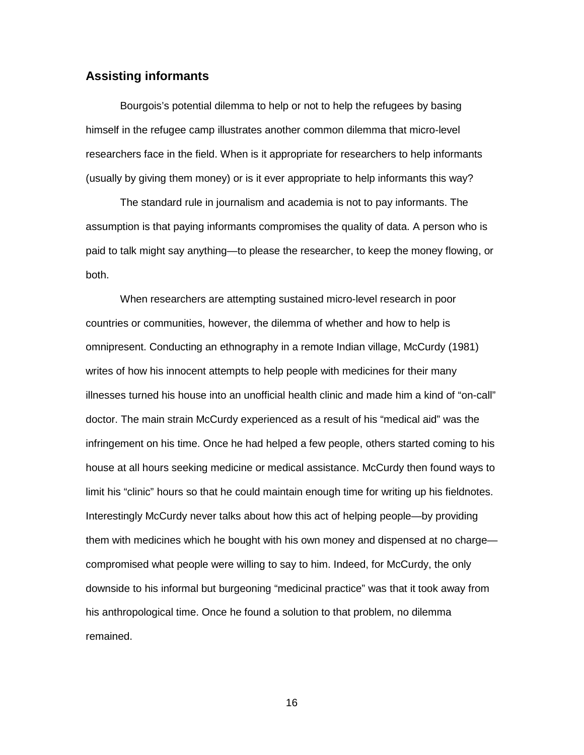### **Assisting informants**

Bourgois's potential dilemma to help or not to help the refugees by basing himself in the refugee camp illustrates another common dilemma that micro-level researchers face in the field. When is it appropriate for researchers to help informants (usually by giving them money) or is it ever appropriate to help informants this way?

The standard rule in journalism and academia is not to pay informants. The assumption is that paying informants compromises the quality of data. A person who is paid to talk might say anything—to please the researcher, to keep the money flowing, or both.

When researchers are attempting sustained micro-level research in poor countries or communities, however, the dilemma of whether and how to help is omnipresent. Conducting an ethnography in a remote Indian village, McCurdy (1981) writes of how his innocent attempts to help people with medicines for their many illnesses turned his house into an unofficial health clinic and made him a kind of "on-call" doctor. The main strain McCurdy experienced as a result of his "medical aid" was the infringement on his time. Once he had helped a few people, others started coming to his house at all hours seeking medicine or medical assistance. McCurdy then found ways to limit his "clinic" hours so that he could maintain enough time for writing up his fieldnotes. Interestingly McCurdy never talks about how this act of helping people—by providing them with medicines which he bought with his own money and dispensed at no charge compromised what people were willing to say to him. Indeed, for McCurdy, the only downside to his informal but burgeoning "medicinal practice" was that it took away from his anthropological time. Once he found a solution to that problem, no dilemma remained.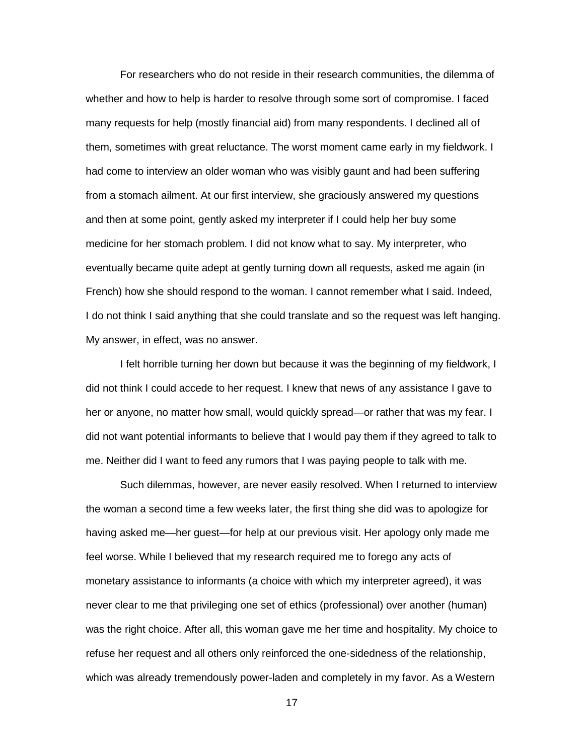For researchers who do not reside in their research communities, the dilemma of whether and how to help is harder to resolve through some sort of compromise. I faced many requests for help (mostly financial aid) from many respondents. I declined all of them, sometimes with great reluctance. The worst moment came early in my fieldwork. I had come to interview an older woman who was visibly gaunt and had been suffering from a stomach ailment. At our first interview, she graciously answered my questions and then at some point, gently asked my interpreter if I could help her buy some medicine for her stomach problem. I did not know what to say. My interpreter, who eventually became quite adept at gently turning down all requests, asked me again (in French) how she should respond to the woman. I cannot remember what I said. Indeed, I do not think I said anything that she could translate and so the request was left hanging. My answer, in effect, was no answer.

I felt horrible turning her down but because it was the beginning of my fieldwork, I did not think I could accede to her request. I knew that news of any assistance I gave to her or anyone, no matter how small, would quickly spread—or rather that was my fear. I did not want potential informants to believe that I would pay them if they agreed to talk to me. Neither did I want to feed any rumors that I was paying people to talk with me.

Such dilemmas, however, are never easily resolved. When I returned to interview the woman a second time a few weeks later, the first thing she did was to apologize for having asked me—her guest—for help at our previous visit. Her apology only made me feel worse. While I believed that my research required me to forego any acts of monetary assistance to informants (a choice with which my interpreter agreed), it was never clear to me that privileging one set of ethics (professional) over another (human) was the right choice. After all, this woman gave me her time and hospitality. My choice to refuse her request and all others only reinforced the one-sidedness of the relationship, which was already tremendously power-laden and completely in my favor. As a Western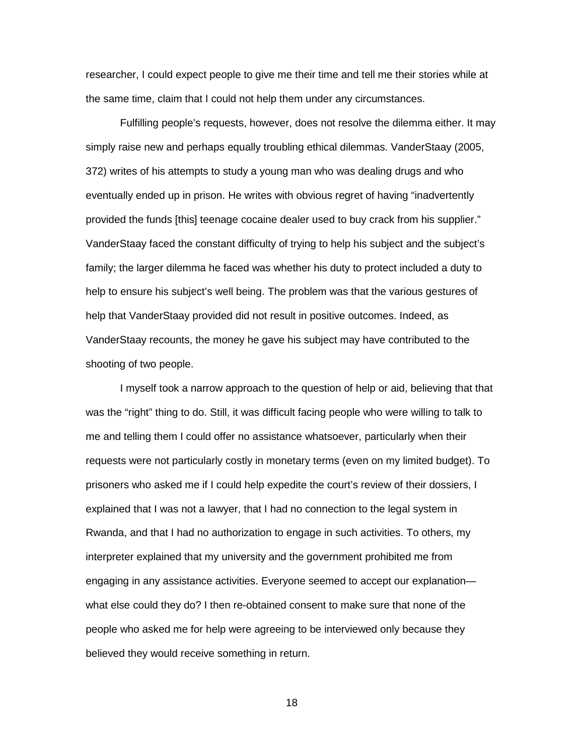researcher, I could expect people to give me their time and tell me their stories while at the same time, claim that I could not help them under any circumstances.

Fulfilling people's requests, however, does not resolve the dilemma either. It may simply raise new and perhaps equally troubling ethical dilemmas. VanderStaay (2005, 372) writes of his attempts to study a young man who was dealing drugs and who eventually ended up in prison. He writes with obvious regret of having "inadvertently provided the funds [this] teenage cocaine dealer used to buy crack from his supplier." VanderStaay faced the constant difficulty of trying to help his subject and the subject's family; the larger dilemma he faced was whether his duty to protect included a duty to help to ensure his subject's well being. The problem was that the various gestures of help that VanderStaay provided did not result in positive outcomes. Indeed, as VanderStaay recounts, the money he gave his subject may have contributed to the shooting of two people.

I myself took a narrow approach to the question of help or aid, believing that that was the "right" thing to do. Still, it was difficult facing people who were willing to talk to me and telling them I could offer no assistance whatsoever, particularly when their requests were not particularly costly in monetary terms (even on my limited budget). To prisoners who asked me if I could help expedite the court's review of their dossiers, I explained that I was not a lawyer, that I had no connection to the legal system in Rwanda, and that I had no authorization to engage in such activities. To others, my interpreter explained that my university and the government prohibited me from engaging in any assistance activities. Everyone seemed to accept our explanation what else could they do? I then re-obtained consent to make sure that none of the people who asked me for help were agreeing to be interviewed only because they believed they would receive something in return.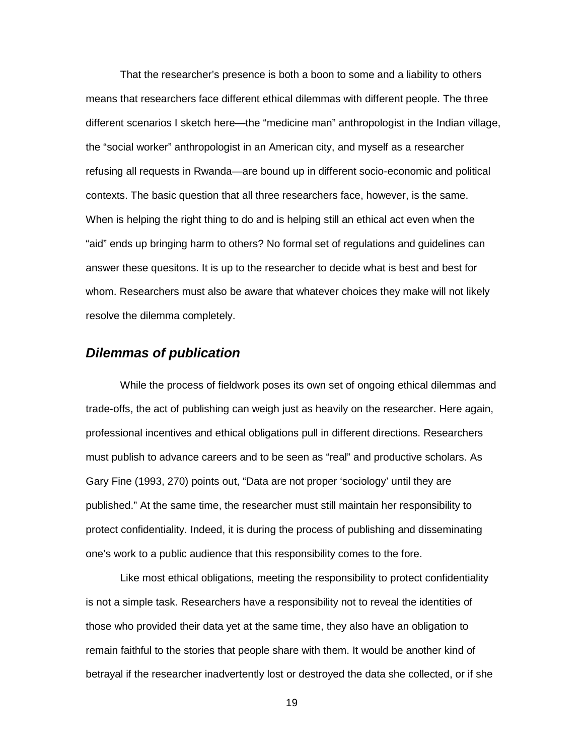That the researcher's presence is both a boon to some and a liability to others means that researchers face different ethical dilemmas with different people. The three different scenarios I sketch here—the "medicine man" anthropologist in the Indian village, the "social worker" anthropologist in an American city, and myself as a researcher refusing all requests in Rwanda—are bound up in different socio-economic and political contexts. The basic question that all three researchers face, however, is the same. When is helping the right thing to do and is helping still an ethical act even when the "aid" ends up bringing harm to others? No formal set of regulations and guidelines can answer these quesitons. It is up to the researcher to decide what is best and best for whom. Researchers must also be aware that whatever choices they make will not likely resolve the dilemma completely.

## *Dilemmas of publication*

While the process of fieldwork poses its own set of ongoing ethical dilemmas and trade-offs, the act of publishing can weigh just as heavily on the researcher. Here again, professional incentives and ethical obligations pull in different directions. Researchers must publish to advance careers and to be seen as "real" and productive scholars. As Gary Fine (1993, 270) points out, "Data are not proper 'sociology' until they are published." At the same time, the researcher must still maintain her responsibility to protect confidentiality. Indeed, it is during the process of publishing and disseminating one's work to a public audience that this responsibility comes to the fore.

Like most ethical obligations, meeting the responsibility to protect confidentiality is not a simple task. Researchers have a responsibility not to reveal the identities of those who provided their data yet at the same time, they also have an obligation to remain faithful to the stories that people share with them. It would be another kind of betrayal if the researcher inadvertently lost or destroyed the data she collected, or if she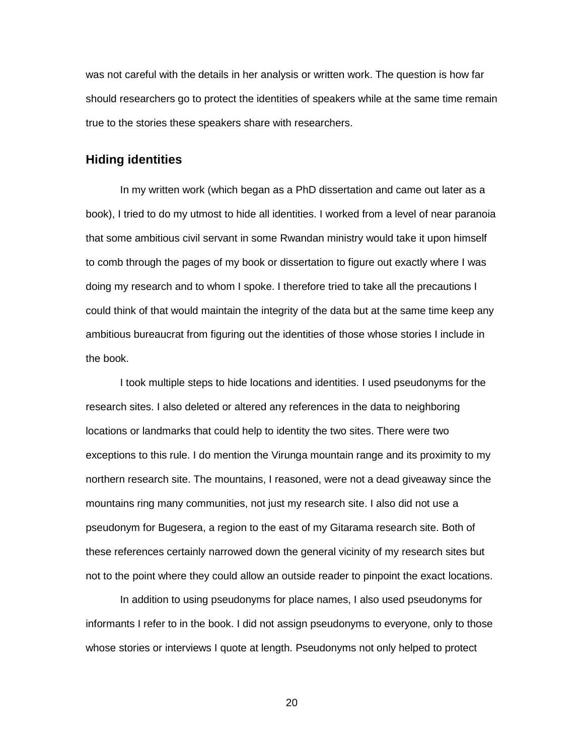was not careful with the details in her analysis or written work. The question is how far should researchers go to protect the identities of speakers while at the same time remain true to the stories these speakers share with researchers.

### **Hiding identities**

In my written work (which began as a PhD dissertation and came out later as a book), I tried to do my utmost to hide all identities. I worked from a level of near paranoia that some ambitious civil servant in some Rwandan ministry would take it upon himself to comb through the pages of my book or dissertation to figure out exactly where I was doing my research and to whom I spoke. I therefore tried to take all the precautions I could think of that would maintain the integrity of the data but at the same time keep any ambitious bureaucrat from figuring out the identities of those whose stories I include in the book.

I took multiple steps to hide locations and identities. I used pseudonyms for the research sites. I also deleted or altered any references in the data to neighboring locations or landmarks that could help to identity the two sites. There were two exceptions to this rule. I do mention the Virunga mountain range and its proximity to my northern research site. The mountains, I reasoned, were not a dead giveaway since the mountains ring many communities, not just my research site. I also did not use a pseudonym for Bugesera, a region to the east of my Gitarama research site. Both of these references certainly narrowed down the general vicinity of my research sites but not to the point where they could allow an outside reader to pinpoint the exact locations.

In addition to using pseudonyms for place names, I also used pseudonyms for informants I refer to in the book. I did not assign pseudonyms to everyone, only to those whose stories or interviews I quote at length. Pseudonyms not only helped to protect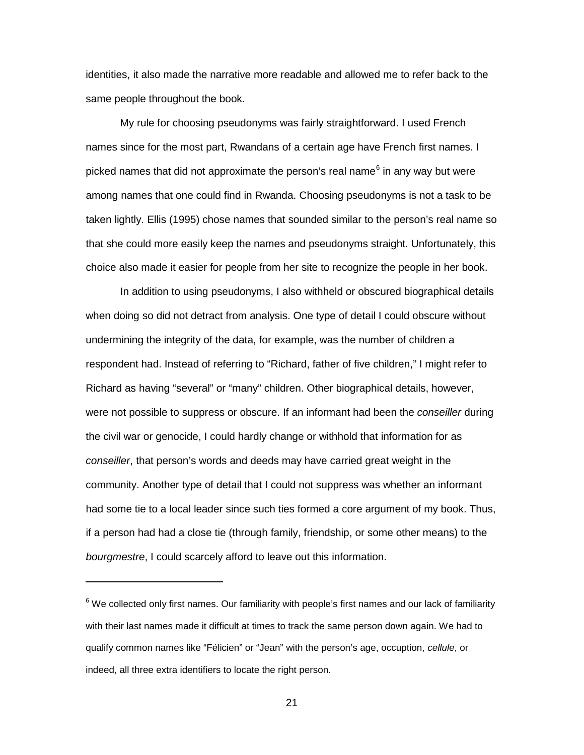identities, it also made the narrative more readable and allowed me to refer back to the same people throughout the book.

My rule for choosing pseudonyms was fairly straightforward. I used French names since for the most part, Rwandans of a certain age have French first names. I picked names that did not approximate the person's real name $^6$  $^6$  in any way but were among names that one could find in Rwanda. Choosing pseudonyms is not a task to be taken lightly. Ellis (1995) chose names that sounded similar to the person's real name so that she could more easily keep the names and pseudonyms straight. Unfortunately, this choice also made it easier for people from her site to recognize the people in her book.

In addition to using pseudonyms, I also withheld or obscured biographical details when doing so did not detract from analysis. One type of detail I could obscure without undermining the integrity of the data, for example, was the number of children a respondent had. Instead of referring to "Richard, father of five children," I might refer to Richard as having "several" or "many" children. Other biographical details, however, were not possible to suppress or obscure. If an informant had been the *conseiller* during the civil war or genocide, I could hardly change or withhold that information for as *conseiller*, that person's words and deeds may have carried great weight in the community. Another type of detail that I could not suppress was whether an informant had some tie to a local leader since such ties formed a core argument of my book. Thus, if a person had had a close tie (through family, friendship, or some other means) to the *bourgmestre*, I could scarcely afford to leave out this information.

 $\overline{a}$ 

<span id="page-20-0"></span> $6$  We collected only first names. Our familiarity with people's first names and our lack of familiarity with their last names made it difficult at times to track the same person down again. We had to qualify common names like "Félicien" or "Jean" with the person's age, occuption, *cellule*, or indeed, all three extra identifiers to locate the right person.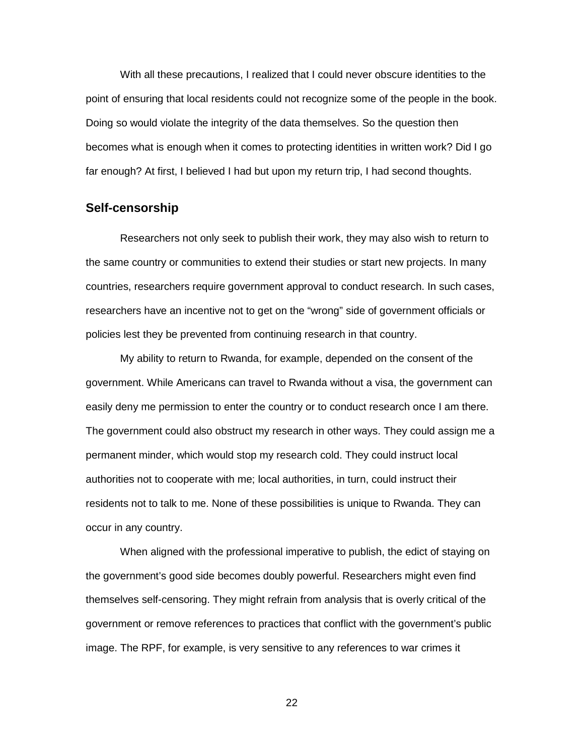With all these precautions, I realized that I could never obscure identities to the point of ensuring that local residents could not recognize some of the people in the book. Doing so would violate the integrity of the data themselves. So the question then becomes what is enough when it comes to protecting identities in written work? Did I go far enough? At first, I believed I had but upon my return trip, I had second thoughts.

### **Self-censorship**

Researchers not only seek to publish their work, they may also wish to return to the same country or communities to extend their studies or start new projects. In many countries, researchers require government approval to conduct research. In such cases, researchers have an incentive not to get on the "wrong" side of government officials or policies lest they be prevented from continuing research in that country.

My ability to return to Rwanda, for example, depended on the consent of the government. While Americans can travel to Rwanda without a visa, the government can easily deny me permission to enter the country or to conduct research once I am there. The government could also obstruct my research in other ways. They could assign me a permanent minder, which would stop my research cold. They could instruct local authorities not to cooperate with me; local authorities, in turn, could instruct their residents not to talk to me. None of these possibilities is unique to Rwanda. They can occur in any country.

When aligned with the professional imperative to publish, the edict of staying on the government's good side becomes doubly powerful. Researchers might even find themselves self-censoring. They might refrain from analysis that is overly critical of the government or remove references to practices that conflict with the government's public image. The RPF, for example, is very sensitive to any references to war crimes it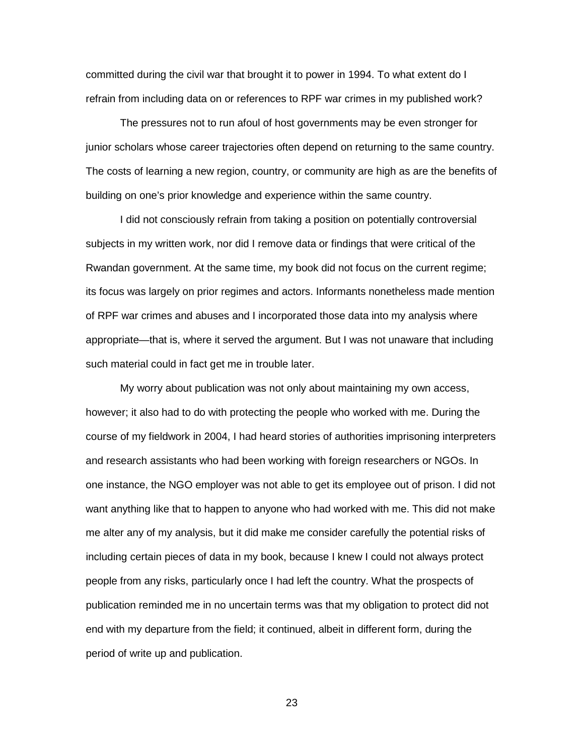committed during the civil war that brought it to power in 1994. To what extent do I refrain from including data on or references to RPF war crimes in my published work?

The pressures not to run afoul of host governments may be even stronger for junior scholars whose career trajectories often depend on returning to the same country. The costs of learning a new region, country, or community are high as are the benefits of building on one's prior knowledge and experience within the same country.

I did not consciously refrain from taking a position on potentially controversial subjects in my written work, nor did I remove data or findings that were critical of the Rwandan government. At the same time, my book did not focus on the current regime; its focus was largely on prior regimes and actors. Informants nonetheless made mention of RPF war crimes and abuses and I incorporated those data into my analysis where appropriate—that is, where it served the argument. But I was not unaware that including such material could in fact get me in trouble later.

My worry about publication was not only about maintaining my own access, however; it also had to do with protecting the people who worked with me. During the course of my fieldwork in 2004, I had heard stories of authorities imprisoning interpreters and research assistants who had been working with foreign researchers or NGOs. In one instance, the NGO employer was not able to get its employee out of prison. I did not want anything like that to happen to anyone who had worked with me. This did not make me alter any of my analysis, but it did make me consider carefully the potential risks of including certain pieces of data in my book, because I knew I could not always protect people from any risks, particularly once I had left the country. What the prospects of publication reminded me in no uncertain terms was that my obligation to protect did not end with my departure from the field; it continued, albeit in different form, during the period of write up and publication.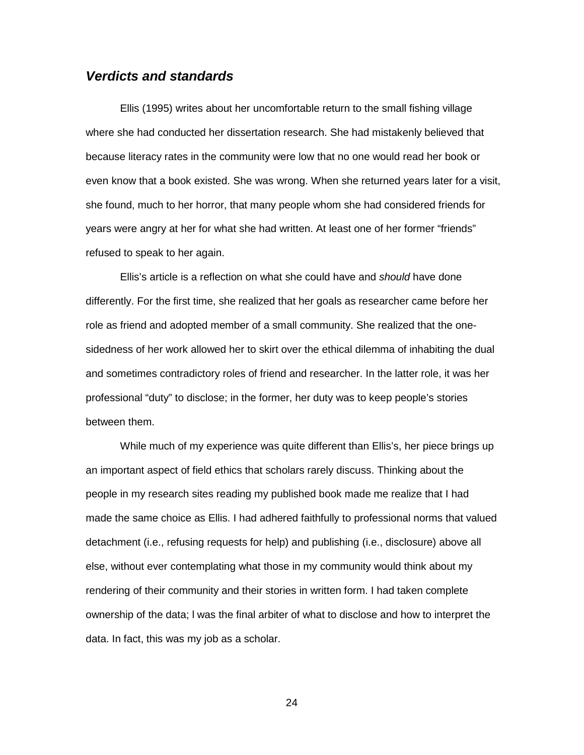### *Verdicts and standards*

Ellis (1995) writes about her uncomfortable return to the small fishing village where she had conducted her dissertation research. She had mistakenly believed that because literacy rates in the community were low that no one would read her book or even know that a book existed. She was wrong. When she returned years later for a visit, she found, much to her horror, that many people whom she had considered friends for years were angry at her for what she had written. At least one of her former "friends" refused to speak to her again.

Ellis's article is a reflection on what she could have and *should* have done differently. For the first time, she realized that her goals as researcher came before her role as friend and adopted member of a small community. She realized that the onesidedness of her work allowed her to skirt over the ethical dilemma of inhabiting the dual and sometimes contradictory roles of friend and researcher. In the latter role, it was her professional "duty" to disclose; in the former, her duty was to keep people's stories between them.

While much of my experience was quite different than Ellis's, her piece brings up an important aspect of field ethics that scholars rarely discuss. Thinking about the people in my research sites reading my published book made me realize that I had made the same choice as Ellis. I had adhered faithfully to professional norms that valued detachment (i.e., refusing requests for help) and publishing (i.e., disclosure) above all else, without ever contemplating what those in my community would think about my rendering of their community and their stories in written form. I had taken complete ownership of the data; l was the final arbiter of what to disclose and how to interpret the data. In fact, this was my job as a scholar.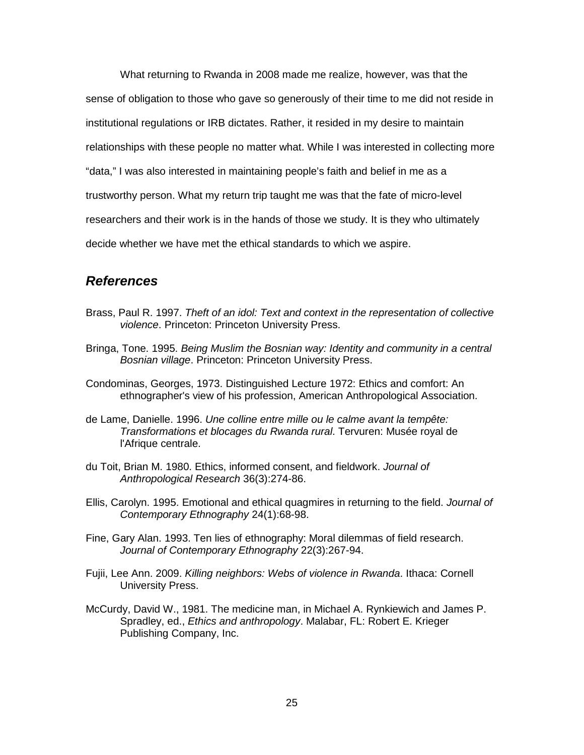What returning to Rwanda in 2008 made me realize, however, was that the sense of obligation to those who gave so generously of their time to me did not reside in institutional regulations or IRB dictates. Rather, it resided in my desire to maintain relationships with these people no matter what. While I was interested in collecting more "data," I was also interested in maintaining people's faith and belief in me as a trustworthy person. What my return trip taught me was that the fate of micro-level researchers and their work is in the hands of those we study. It is they who ultimately decide whether we have met the ethical standards to which we aspire.

## *References*

- Brass, Paul R. 1997. *Theft of an idol: Text and context in the representation of collective violence*. Princeton: Princeton University Press.
- Bringa, Tone. 1995. *Being Muslim the Bosnian way: Identity and community in a central Bosnian village*. Princeton: Princeton University Press.
- Condominas, Georges, 1973. Distinguished Lecture 1972: Ethics and comfort: An ethnographer's view of his profession, American Anthropological Association.
- de Lame, Danielle. 1996. *Une colline entre mille ou le calme avant la tempête: Transformations et blocages du Rwanda rural*. Tervuren: Musée royal de l'Afrique centrale.
- du Toit, Brian M. 1980. Ethics, informed consent, and fieldwork. *Journal of Anthropological Research* 36(3):274-86.
- Ellis, Carolyn. 1995. Emotional and ethical quagmires in returning to the field. *Journal of Contemporary Ethnography* 24(1):68-98.
- Fine, Gary Alan. 1993. Ten lies of ethnography: Moral dilemmas of field research. *Journal of Contemporary Ethnography* 22(3):267-94.
- Fujii, Lee Ann. 2009. *Killing neighbors: Webs of violence in Rwanda*. Ithaca: Cornell University Press.
- McCurdy, David W., 1981. The medicine man, in Michael A. Rynkiewich and James P. Spradley, ed., *Ethics and anthropology*. Malabar, FL: Robert E. Krieger Publishing Company, Inc.